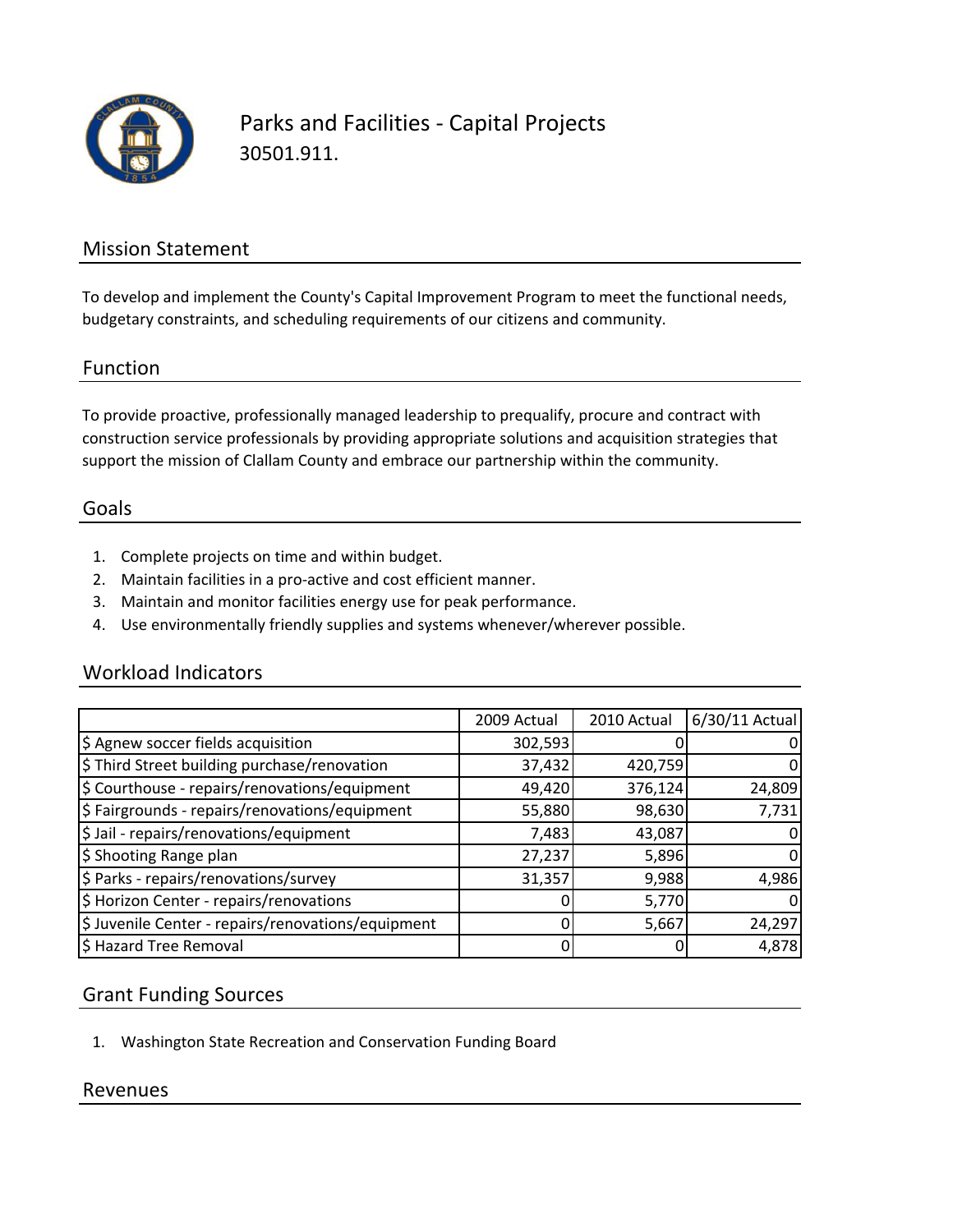

Parks and Facilities ‐ Capital Projects 30501.911.

## Mission Statement

To develop and implement the County's Capital Improvement Program to meet the functional needs, budgetary constraints, and scheduling requirements of our citizens and community.

#### Function

To provide proactive, professionally managed leadership to prequalify, procure and contract with construction service professionals by providing appropriate solutions and acquisition strategies that support the mission of Clallam County and embrace our partnership within the community.

#### Goals

- 1. Complete projects on time and within budget.
- 2. Maintain facilities in a pro‐active and cost efficient manner.
- 3. Maintain and monitor facilities energy use for peak performance.
- 4. Use environmentally friendly supplies and systems whenever/wherever possible.

### Workload Indicators

|                                                    | 2009 Actual | 2010 Actual | 6/30/11 Actual |
|----------------------------------------------------|-------------|-------------|----------------|
| \$ Agnew soccer fields acquisition                 | 302,593     |             |                |
| \$ Third Street building purchase/renovation       | 37,432      | 420,759     |                |
| \$ Courthouse - repairs/renovations/equipment      | 49,420      | 376,124     | 24,809         |
| \$ Fairgrounds - repairs/renovations/equipment     | 55,880      | 98,630      | 7,731          |
| \$ Jail - repairs/renovations/equipment            | 7,483       | 43,087      |                |
| \$ Shooting Range plan                             | 27,237      | 5,896       | $\Omega$       |
| \$ Parks - repairs/renovations/survey              | 31,357      | 9,988       | 4,986          |
| \$ Horizon Center - repairs/renovations            | O           | 5,770       |                |
| \$ Juvenile Center - repairs/renovations/equipment |             | 5,667       | 24,297         |
| \$ Hazard Tree Removal                             |             |             | 4,878          |

## Grant Funding Sources

1. Washington State Recreation and Conservation Funding Board

### Revenues